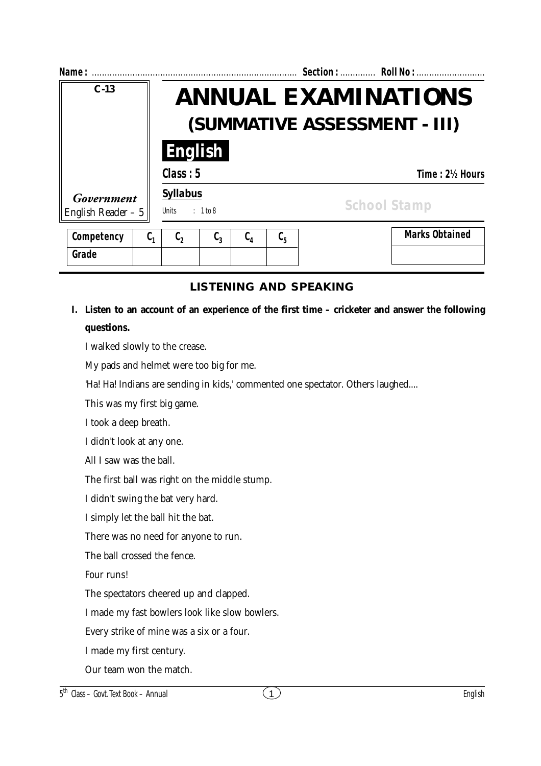| Name:                             |                                                                    | Section:  Roll No :                                    |  |  |  |
|-----------------------------------|--------------------------------------------------------------------|--------------------------------------------------------|--|--|--|
| $C - 13$                          | <b>ANNUAL EXAMINATIONS</b><br>(SUMMATIVE ASSESSMENT - III)         |                                                        |  |  |  |
|                                   | <b>English</b>                                                     |                                                        |  |  |  |
|                                   | Class: 5                                                           | Time: 2½ Hours                                         |  |  |  |
| Government<br>English Reader $-5$ | <b>Syllabus</b><br>: 1 to 8<br>Units                               | <b>School Stamp</b>                                    |  |  |  |
| Competency<br>$C_{1}$             | $\mathfrak{c}_{\scriptscriptstyle 4}$<br>$C_3$<br>$\mathfrak{c}_2$ | <b>Marks Obtained</b><br>$\mathfrak{c}_{\mathfrak{s}}$ |  |  |  |

## **LISTENING AND SPEAKING**

# **I. Listen to an account of an experience of the first time – cricketer and answer the following questions.**

I walked slowly to the crease.

My pads and helmet were too big for me.

'Ha! Ha! Indians are sending in kids,' commented one spectator. Others laughed....

This was my first big game.

I took a deep breath.

**Grade**

I didn't look at any one.

All I saw was the ball.

The first ball was right on the middle stump.

I didn't swing the bat very hard.

I simply let the ball hit the bat.

There was no need for anyone to run.

The ball crossed the fence.

Four runs!

The spectators cheered up and clapped.

I made my fast bowlers look like slow bowlers.

Every strike of mine was a six or a four.

I made my first century.

Our team won the match.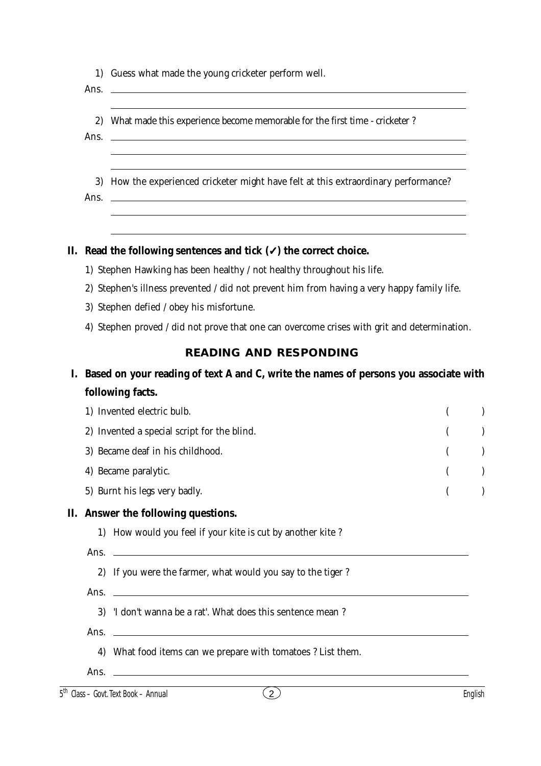|  |  |  | 1) Guess what made the young cricketer perform well. |  |  |
|--|--|--|------------------------------------------------------|--|--|
|--|--|--|------------------------------------------------------|--|--|

Ans.

- 2) What made this experience become memorable for the first time cricketer ?
- Ans.

3) How the experienced cricketer might have felt at this extraordinary performance?

Ans.

#### **II. Read the following sentences and tick (**✓**) the correct choice.**

- 1) Stephen Hawking has been healthy / not healthy throughout his life.
- 2) Stephen's illness prevented / did not prevent him from having a very happy family life.
- 3) Stephen defied / obey his misfortune.
- 4) Stephen proved / did not prove that one can overcome crises with grit and determination.

#### **READING AND RESPONDING**

# **I. Based on your reading of text A and C, write the names of persons you associate with following facts.**

| 1) Invented electric bulb.                  | $($ $)$ |  |
|---------------------------------------------|---------|--|
| 2) Invented a special script for the blind. | $($ )   |  |
| 3) Became deaf in his childhood.            | $($ )   |  |
| 4) Became paralytic.                        | (       |  |
| 5) Burnt his legs very badly.               | $($ $)$ |  |
|                                             |         |  |

## **II. Answer the following questions.**

- 1) How would you feel if your kite is cut by another kite ?
- Ans.
	- 2) If you were the farmer, what would you say to the tiger ?
- Ans.
	- 3) 'I don't wanna be a rat'. What does this sentence mean ?
- Ans.
	- 4) What food items can we prepare with tomatoes ? List them.
- Ans.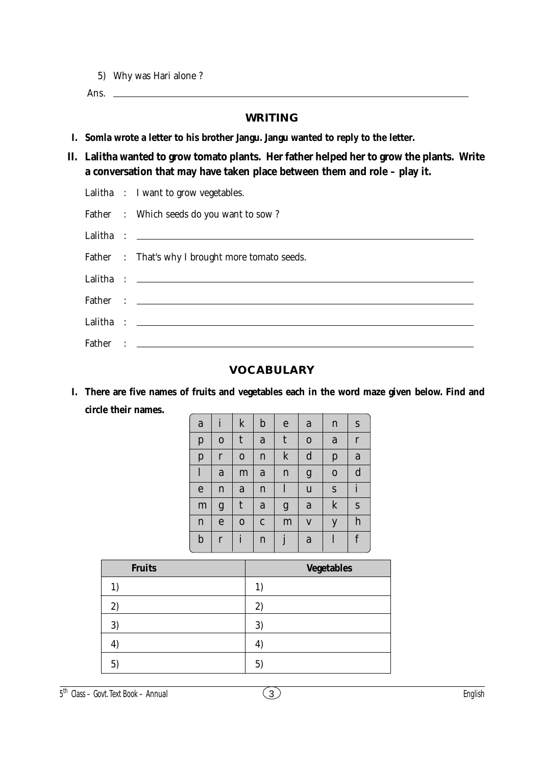5) Why was Hari alone ?

Ans.

#### **WRITING**

- **I. Somla wrote a letter to his brother Jangu. Jangu wanted to reply to the letter.**
- **II. Lalitha wanted to grow tomato plants. Her father helped her to grow the plants. Write a conversation that may have taken place between them and role – play it.**
	- Lalitha : I want to grow vegetables.

|  | Father : Which seeds do you want to sow? |  |
|--|------------------------------------------|--|
|  |                                          |  |

|  | Father : That's why I brought more tomato seeds. |
|--|--------------------------------------------------|
|  |                                                  |
|  |                                                  |
|  |                                                  |
|  |                                                  |

## **VOCABULARY**

**I. There are five names of fruits and vegetables each in the word maze given below. Find and circle their names.**

| a            | $\mathbf{i}$ | $\bf k$      | $\mathbf b$  | $\mathbf e$ | a           | $\mathbf n$ | ${\bf S}$    |
|--------------|--------------|--------------|--------------|-------------|-------------|-------------|--------------|
| $\mathbf{p}$ | $\mathbf 0$  | $\mathsf{t}$ | $\mathbf a$  | t           | $\mathbf 0$ | a           | $\mathbf r$  |
| $\mathbf{p}$ | $\mathbf r$  | $\mathbf 0$  | $\mathbf n$  | ${\bf k}$   | $\mathbf d$ | p           | a            |
| $\mathbf{l}$ | $\mathbf a$  | m            | $\mathbf a$  | $\mathbf n$ | g           | $\mathbf 0$ | $\mathbf d$  |
| $\mathbf e$  | $\mathbf n$  | ${\bf a}$    | $\mathbf n$  | $\bf{l}$    | $\mathbf u$ | S           | $\mathbf{i}$ |
| m            | g            | $\mathsf{t}$ | $\mathbf a$  | g           | $\mathbf a$ | $\mathbf k$ | ${\bf S}$    |
| $\mathbf n$  | $\mathbf e$  | $\mathbf 0$  | $\mathbf{C}$ | m           | $\mathbf V$ | y           | h            |
| $\mathbf b$  | $\mathbf{r}$ | $\mathbf{i}$ | $\mathbf n$  | j           | $\mathbf a$ | l           | f            |

| <b>Fruits</b> | <b>Vegetables</b> |
|---------------|-------------------|
|               |                   |
| 2)            | 2)                |
| 3)            | 3)                |
|               | 4                 |
| $5^{\circ}$   | $5^{\circ}$       |

5 th Class – Govt. Text Book – **Annual** 3 English